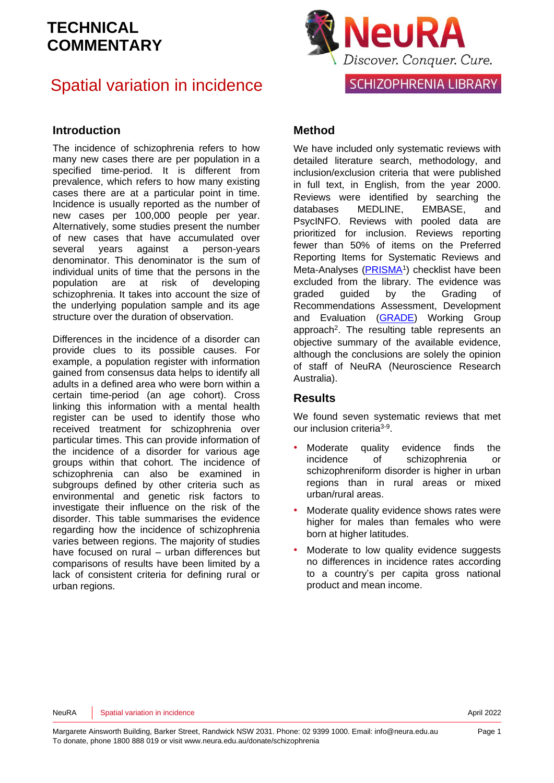## Spatial variation in incidence

### **Introduction**

The incidence of schizophrenia refers to how many new cases there are per population in a specified time-period. It is different from prevalence, which refers to how many existing cases there are at a particular point in time. Incidence is usually reported as the number of new cases per 100,000 people per year. Alternatively, some studies present the number of new cases that have accumulated over several years against a person-years denominator. This denominator is the sum of individual units of time that the persons in the population are at risk of developing schizophrenia. It takes into account the size of the underlying population sample and its age structure over the duration of observation.

Differences in the incidence of a disorder can provide clues to its possible causes. For example, a population register with information gained from consensus data helps to identify all adults in a defined area who were born within a certain time-period (an age cohort). Cross linking this information with a mental health register can be used to identify those who received treatment for schizophrenia over particular times. This can provide information of the incidence of a disorder for various age groups within that cohort. The incidence of schizophrenia can also be examined in subgroups defined by other criteria such as environmental and genetic risk factors to investigate their influence on the risk of the disorder. This table summarises the evidence regarding how the incidence of schizophrenia varies between regions. The majority of studies have focused on rural – urban differences but comparisons of results have been limited by a lack of consistent criteria for defining rural or urban regions.



### **Method**

We have included only systematic reviews with detailed literature search, methodology, and inclusion/exclusion criteria that were published in full text, in English, from the year 2000. Reviews were identified by searching the databases MEDLINE, EMBASE, and PsycINFO. Reviews with pooled data are prioritized for inclusion. Reviews reporting fewer than 50% of items on the Preferred Reporting Items for Systematic Reviews and Meta-Analyses [\(PRISMA](http://www.prisma-statement.org/)<sup>1</sup>) checklist have been excluded from the library. The evidence was graded guided by the Grading of Recommendations Assessment, Development and Evaluation [\(GRADE\)](http://www.gradeworkinggroup.org/) Working Group approach<sup>[2](#page-10-1)</sup>. The resulting table represents an objective summary of the available evidence, although the conclusions are solely the opinion of staff of NeuRA (Neuroscience Research Australia).

### **Results**

We found seven systematic reviews that met our inclusion criteria<sup>[3-9](#page-10-2)</sup>.

- Moderate quality evidence finds the incidence of schizophrenia or schizophreniform disorder is higher in urban regions than in rural areas or mixed urban/rural areas.
- Moderate quality evidence shows rates were higher for males than females who were born at higher latitudes.
- Moderate to low quality evidence suggests no differences in incidence rates according to a country's per capita gross national product and mean income.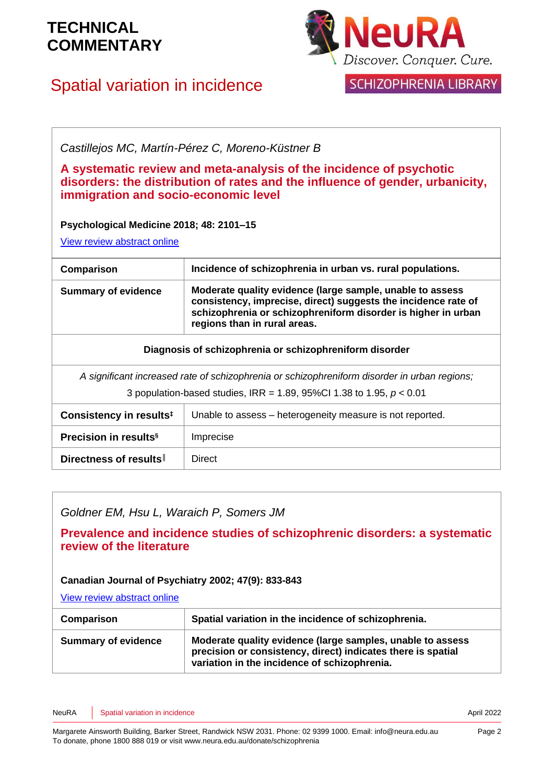# Spatial variation in incidence



SCHIZOPHRENIA LIBRARY

*Castillejos MC, Martín-Pérez C, Moreno-Küstner B*

**A systematic review and meta-analysis of the incidence of psychotic disorders: the distribution of rates and the influence of gender, urbanicity, immigration and socio-economic level**

**Psychological Medicine 2018; 48: 2101–15**

[View review abstract online](https://pubmed.ncbi.nlm.nih.gov/29467052/)

| Comparison                                                                                   | Incidence of schizophrenia in urban vs. rural populations.                                                                                                                                                                   |
|----------------------------------------------------------------------------------------------|------------------------------------------------------------------------------------------------------------------------------------------------------------------------------------------------------------------------------|
| <b>Summary of evidence</b>                                                                   | Moderate quality evidence (large sample, unable to assess<br>consistency, imprecise, direct) suggests the incidence rate of<br>schizophrenia or schizophreniform disorder is higher in urban<br>regions than in rural areas. |
| Diagnosis of schizophrenia or schizophreniform disorder                                      |                                                                                                                                                                                                                              |
| A significant increased rate of schizophrenia or schizophreniform disorder in urban regions; |                                                                                                                                                                                                                              |
| 3 population-based studies, IRR = 1.89, 95%CI 1.38 to 1.95, $p < 0.01$                       |                                                                                                                                                                                                                              |
| Consistency in results <sup>#</sup>                                                          | Unable to assess – heterogeneity measure is not reported.                                                                                                                                                                    |
| Precision in results <sup>§</sup>                                                            | Imprecise                                                                                                                                                                                                                    |

**Directness of results<sup>|</sup> | Direct** 

*Goldner EM, Hsu L, Waraich P, Somers JM*

**Prevalence and incidence studies of schizophrenic disorders: a systematic review of the literature** 

### **Canadian Journal of Psychiatry 2002; 47(9): 833-843**

[View review abstract online](http://www.ncbi.nlm.nih.gov/pubmed/12500753) 

| Comparison                 | Spatial variation in the incidence of schizophrenia.                                                                                                                       |
|----------------------------|----------------------------------------------------------------------------------------------------------------------------------------------------------------------------|
| <b>Summary of evidence</b> | Moderate quality evidence (large samples, unable to assess<br>precision or consistency, direct) indicates there is spatial<br>variation in the incidence of schizophrenia. |

NeuRA Spatial variation in incidence April 2022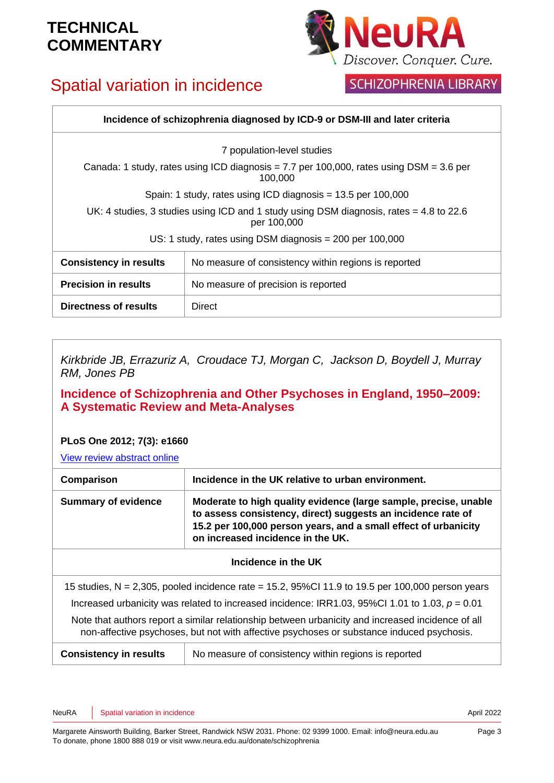# Spatial variation in incidence



## SCHIZOPHRENIA LIBRARY

| Incidence of schizophrenia diagnosed by ICD-9 or DSM-III and later criteria                              |                                                      |
|----------------------------------------------------------------------------------------------------------|------------------------------------------------------|
| 7 population-level studies                                                                               |                                                      |
| Canada: 1 study, rates using ICD diagnosis = 7.7 per 100,000, rates using $DSM = 3.6$ per<br>100.000     |                                                      |
| Spain: 1 study, rates using ICD diagnosis = $13.5$ per 100,000                                           |                                                      |
| UK: 4 studies, 3 studies using ICD and 1 study using DSM diagnosis, rates $=$ 4.8 to 22.6<br>per 100,000 |                                                      |
| US: 1 study, rates using DSM diagnosis $= 200$ per 100,000                                               |                                                      |
| <b>Consistency in results</b>                                                                            | No measure of consistency within regions is reported |
| <b>Precision in results</b>                                                                              | No measure of precision is reported                  |
| Directness of results                                                                                    | <b>Direct</b>                                        |

*Kirkbride JB, Errazuriz A, Croudace TJ, Morgan C, Jackson D, Boydell J, Murray RM, Jones PB*

### **Incidence of Schizophrenia and Other Psychoses in England, 1950–2009: A Systematic Review and Meta-Analyses**

### **PLoS One 2012; 7(3): e1660**

[View review abstract online](http://www.plosone.org/article/info:doi/10.1371/journal.pone.0031660)

| Comparison                                                                                                                                                                                     | Incidence in the UK relative to urban environment.                                                                                                                                                                                       |
|------------------------------------------------------------------------------------------------------------------------------------------------------------------------------------------------|------------------------------------------------------------------------------------------------------------------------------------------------------------------------------------------------------------------------------------------|
| <b>Summary of evidence</b>                                                                                                                                                                     | Moderate to high quality evidence (large sample, precise, unable<br>to assess consistency, direct) suggests an incidence rate of<br>15.2 per 100,000 person years, and a small effect of urbanicity<br>on increased incidence in the UK. |
| Incidence in the UK                                                                                                                                                                            |                                                                                                                                                                                                                                          |
| 15 studies, N = 2,305, pooled incidence rate = 15.2, 95%Cl 11.9 to 19.5 per 100,000 person years                                                                                               |                                                                                                                                                                                                                                          |
| Increased urbanicity was related to increased incidence: IRR1.03, 95%CI 1.01 to 1.03, $p = 0.01$                                                                                               |                                                                                                                                                                                                                                          |
| Note that authors report a similar relationship between urbanicity and increased incidence of all<br>non-affective psychoses, but not with affective psychoses or substance induced psychosis. |                                                                                                                                                                                                                                          |

**Consistency in results** | No measure of consistency within regions is reported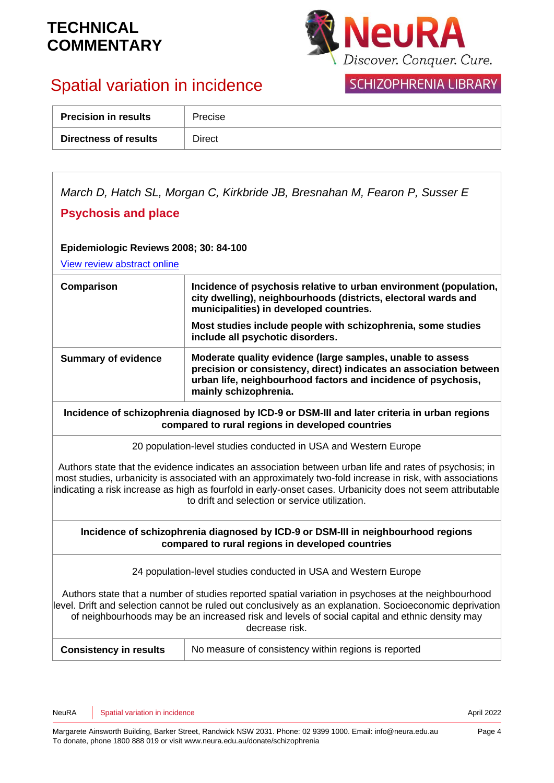

# Spatial variation in incidence

## **SCHIZOPHRENIA LIBRARY**

| <b>Precision in results</b> | Precise |
|-----------------------------|---------|
| Directness of results       | Direct  |

*March D, Hatch SL, Morgan C, Kirkbride JB, Bresnahan M, Fearon P, Susser E* **Psychosis and place Epidemiologic Reviews 2008; 30: 84-100** [View review abstract online](http://epirev.oxfordjournals.org/cgi/content/abstract/30/1/84)  **Comparison Incidence of psychosis relative to urban environment (population, city dwelling), neighbourhoods (districts, electoral wards and municipalities) in developed countries. Most studies include people with schizophrenia, some studies include all psychotic disorders. Summary of evidence Moderate quality evidence (large samples, unable to assess precision or consistency, direct) indicates an association between urban life, neighbourhood factors and incidence of psychosis, mainly schizophrenia. Incidence of schizophrenia diagnosed by ICD-9 or DSM-III and later criteria in urban regions compared to rural regions in developed countries** 20 population-level studies conducted in USA and Western Europe Authors state that the evidence indicates an association between urban life and rates of psychosis; in most studies, urbanicity is associated with an approximately two-fold increase in risk, with associations indicating a risk increase as high as fourfold in early-onset cases. Urbanicity does not seem attributable to drift and selection or service utilization. **Incidence of schizophrenia diagnosed by ICD-9 or DSM-III in neighbourhood regions compared to rural regions in developed countries** 24 population-level studies conducted in USA and Western Europe Authors state that a number of studies reported spatial variation in psychoses at the neighbourhood level. Drift and selection cannot be ruled out conclusively as an explanation. Socioeconomic deprivation of neighbourhoods may be an increased risk and levels of social capital and ethnic density may decrease risk. **Consistency in results** | No measure of consistency within regions is reported

NeuRA Spatial variation in incidence April 2022 **April 2022**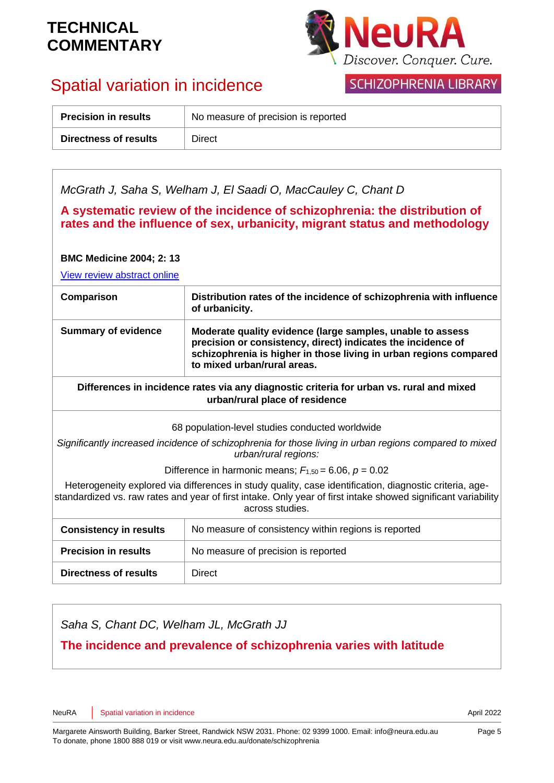

# Spatial variation in incidence

## SCHIZOPHRENIA LIBRARY

| <b>Precision in results</b> | No measure of precision is reported |
|-----------------------------|-------------------------------------|
| Directness of results       | Direct                              |

| McGrath J, Saha S, Welham J, El Saadi O, MacCauley C, Chant D<br>A systematic review of the incidence of schizophrenia: the distribution of<br>rates and the influence of sex, urbanicity, migrant status and methodology<br><b>BMC Medicine 2004; 2: 13</b> |                                                                                                                                                                                                                                |  |
|--------------------------------------------------------------------------------------------------------------------------------------------------------------------------------------------------------------------------------------------------------------|--------------------------------------------------------------------------------------------------------------------------------------------------------------------------------------------------------------------------------|--|
| Comparison                                                                                                                                                                                                                                                   | View review abstract online<br>Distribution rates of the incidence of schizophrenia with influence                                                                                                                             |  |
|                                                                                                                                                                                                                                                              | of urbanicity.                                                                                                                                                                                                                 |  |
| <b>Summary of evidence</b>                                                                                                                                                                                                                                   | Moderate quality evidence (large samples, unable to assess<br>precision or consistency, direct) indicates the incidence of<br>schizophrenia is higher in those living in urban regions compared<br>to mixed urban/rural areas. |  |
| Differences in incidence rates via any diagnostic criteria for urban vs. rural and mixed<br>urban/rural place of residence                                                                                                                                   |                                                                                                                                                                                                                                |  |
|                                                                                                                                                                                                                                                              | 68 population-level studies conducted worldwide                                                                                                                                                                                |  |
| Significantly increased incidence of schizophrenia for those living in urban regions compared to mixed<br>urban/rural regions:                                                                                                                               |                                                                                                                                                                                                                                |  |
| Difference in harmonic means; $F_{1,50} = 6.06$ , $p = 0.02$                                                                                                                                                                                                 |                                                                                                                                                                                                                                |  |
| Heterogeneity explored via differences in study quality, case identification, diagnostic criteria, age-<br>standardized vs. raw rates and year of first intake. Only year of first intake showed significant variability<br>across studies.                  |                                                                                                                                                                                                                                |  |
| <b>Consistency in results</b>                                                                                                                                                                                                                                | No measure of consistency within regions is reported                                                                                                                                                                           |  |
| <b>Precision in results</b>                                                                                                                                                                                                                                  | No measure of precision is reported                                                                                                                                                                                            |  |
| <b>Directness of results</b>                                                                                                                                                                                                                                 | <b>Direct</b>                                                                                                                                                                                                                  |  |

*Saha S, Chant DC, Welham JL, McGrath JJ*

**The incidence and prevalence of schizophrenia varies with latitude**

NeuRA Spatial variation in incidence April 2022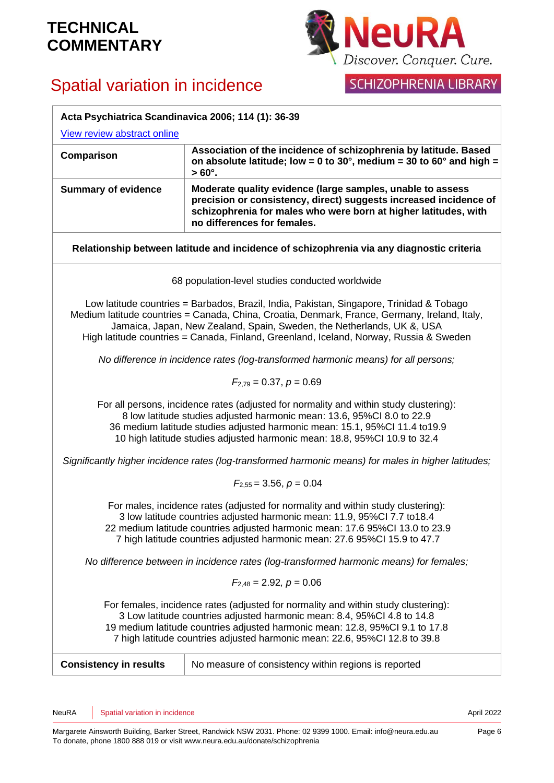



## SCHIZOPHRENIA LIBRARY

| Acta Psychiatrica Scandinavica 2006; 114 (1): 36-39                                                                                                                                                                                                                                                                                                           |                                                                                                                                                                                                                                   |
|---------------------------------------------------------------------------------------------------------------------------------------------------------------------------------------------------------------------------------------------------------------------------------------------------------------------------------------------------------------|-----------------------------------------------------------------------------------------------------------------------------------------------------------------------------------------------------------------------------------|
| View review abstract online                                                                                                                                                                                                                                                                                                                                   |                                                                                                                                                                                                                                   |
| Comparison                                                                                                                                                                                                                                                                                                                                                    | Association of the incidence of schizophrenia by latitude. Based<br>on absolute latitude; low = $0$ to 30°, medium = 30 to 60° and high =<br>$>60^\circ$ .                                                                        |
| <b>Summary of evidence</b>                                                                                                                                                                                                                                                                                                                                    | Moderate quality evidence (large samples, unable to assess<br>precision or consistency, direct) suggests increased incidence of<br>schizophrenia for males who were born at higher latitudes, with<br>no differences for females. |
|                                                                                                                                                                                                                                                                                                                                                               | Relationship between latitude and incidence of schizophrenia via any diagnostic criteria                                                                                                                                          |
|                                                                                                                                                                                                                                                                                                                                                               | 68 population-level studies conducted worldwide                                                                                                                                                                                   |
| Low latitude countries = Barbados, Brazil, India, Pakistan, Singapore, Trinidad & Tobago<br>Medium latitude countries = Canada, China, Croatia, Denmark, France, Germany, Ireland, Italy,<br>Jamaica, Japan, New Zealand, Spain, Sweden, the Netherlands, UK &, USA<br>High latitude countries = Canada, Finland, Greenland, Iceland, Norway, Russia & Sweden |                                                                                                                                                                                                                                   |
|                                                                                                                                                                                                                                                                                                                                                               | No difference in incidence rates (log-transformed harmonic means) for all persons;                                                                                                                                                |
|                                                                                                                                                                                                                                                                                                                                                               | $F_{2,79} = 0.37, p = 0.69$                                                                                                                                                                                                       |
| For all persons, incidence rates (adjusted for normality and within study clustering):<br>8 low latitude studies adjusted harmonic mean: 13.6, 95%Cl 8.0 to 22.9<br>36 medium latitude studies adjusted harmonic mean: 15.1, 95%Cl 11.4 to19.9<br>10 high latitude studies adjusted harmonic mean: 18.8, 95%CI 10.9 to 32.4                                   |                                                                                                                                                                                                                                   |
|                                                                                                                                                                                                                                                                                                                                                               | Significantly higher incidence rates (log-transformed harmonic means) for males in higher latitudes;                                                                                                                              |
| $F_{2.55} = 3.56$ , $p = 0.04$                                                                                                                                                                                                                                                                                                                                |                                                                                                                                                                                                                                   |
| For males, incidence rates (adjusted for normality and within study clustering):<br>3 low latitude countries adjusted harmonic mean: 11.9, 95%Cl 7.7 to18.4<br>22 medium latitude countries adjusted harmonic mean: 17.6 95%CI 13.0 to 23.9<br>7 high latitude countries adjusted harmonic mean: 27.6 95%Cl 15.9 to 47.7                                      |                                                                                                                                                                                                                                   |
| No difference between in incidence rates (log-transformed harmonic means) for females;                                                                                                                                                                                                                                                                        |                                                                                                                                                                                                                                   |
| $F_{2.48} = 2.92, p = 0.06$                                                                                                                                                                                                                                                                                                                                   |                                                                                                                                                                                                                                   |
| For females, incidence rates (adjusted for normality and within study clustering):<br>3 Low latitude countries adjusted harmonic mean: 8.4, 95%Cl 4.8 to 14.8<br>19 medium latitude countries adjusted harmonic mean: 12.8, 95%Cl 9.1 to 17.8<br>7 high latitude countries adjusted harmonic mean: 22.6, 95%Cl 12.8 to 39.8                                   |                                                                                                                                                                                                                                   |
| <b>Consistency in results</b>                                                                                                                                                                                                                                                                                                                                 | No measure of consistency within regions is reported                                                                                                                                                                              |
|                                                                                                                                                                                                                                                                                                                                                               |                                                                                                                                                                                                                                   |

NeuRA Spatial variation in incidence April 2022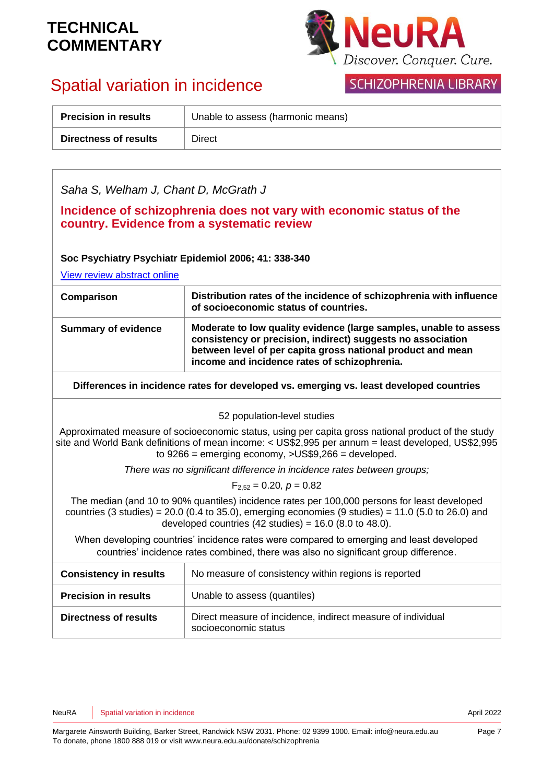

# Spatial variation in incidence

## SCHIZOPHRENIA LIBRARY

| <b>Precision in results</b> | Unable to assess (harmonic means) |
|-----------------------------|-----------------------------------|
| Directness of results       | Direct                            |

| Saha S, Welham J, Chant D, McGrath J                                                                                                                                                                                                                                                                                    |                                                                                                                                                                                                                                                 |  |
|-------------------------------------------------------------------------------------------------------------------------------------------------------------------------------------------------------------------------------------------------------------------------------------------------------------------------|-------------------------------------------------------------------------------------------------------------------------------------------------------------------------------------------------------------------------------------------------|--|
| Incidence of schizophrenia does not vary with economic status of the<br>country. Evidence from a systematic review                                                                                                                                                                                                      |                                                                                                                                                                                                                                                 |  |
| Soc Psychiatry Psychiatr Epidemiol 2006; 41: 338-340<br>View review abstract online                                                                                                                                                                                                                                     |                                                                                                                                                                                                                                                 |  |
| Comparison                                                                                                                                                                                                                                                                                                              | Distribution rates of the incidence of schizophrenia with influence<br>of socioeconomic status of countries.                                                                                                                                    |  |
| <b>Summary of evidence</b>                                                                                                                                                                                                                                                                                              | Moderate to low quality evidence (large samples, unable to assess<br>consistency or precision, indirect) suggests no association<br>between level of per capita gross national product and mean<br>income and incidence rates of schizophrenia. |  |
| Differences in incidence rates for developed vs. emerging vs. least developed countries                                                                                                                                                                                                                                 |                                                                                                                                                                                                                                                 |  |
| 52 population-level studies                                                                                                                                                                                                                                                                                             |                                                                                                                                                                                                                                                 |  |
| Approximated measure of socioeconomic status, using per capita gross national product of the study<br>site and World Bank definitions of mean income: < US\$2,995 per annum = least developed, US\$2,995<br>to $9266$ = emerging economy, $>$ US\$9,266 = developed.                                                    |                                                                                                                                                                                                                                                 |  |
| There was no significant difference in incidence rates between groups;                                                                                                                                                                                                                                                  |                                                                                                                                                                                                                                                 |  |
|                                                                                                                                                                                                                                                                                                                         | $F_{2.52} = 0.20, p = 0.82$                                                                                                                                                                                                                     |  |
| The median (and 10 to 90% quantiles) incidence rates per 100,000 persons for least developed<br>countries $(3 \text{ studies}) = 20.0 (0.4 \text{ to } 35.0)$ , emerging economies $(9 \text{ studies}) = 11.0 (5.0 \text{ to } 26.0)$ and<br>developed countries $(42 \text{ studies}) = 16.0 (8.0 \text{ to } 48.0).$ |                                                                                                                                                                                                                                                 |  |
| When developing countries' incidence rates were compared to emerging and least developed<br>countries' incidence rates combined, there was also no significant group difference.                                                                                                                                        |                                                                                                                                                                                                                                                 |  |
| <b>Consistency in results</b>                                                                                                                                                                                                                                                                                           | No measure of consistency within regions is reported                                                                                                                                                                                            |  |
| <b>Precision in results</b>                                                                                                                                                                                                                                                                                             | Unable to assess (quantiles)                                                                                                                                                                                                                    |  |
| Directness of results                                                                                                                                                                                                                                                                                                   | Direct measure of incidence, indirect measure of individual<br>socioeconomic status                                                                                                                                                             |  |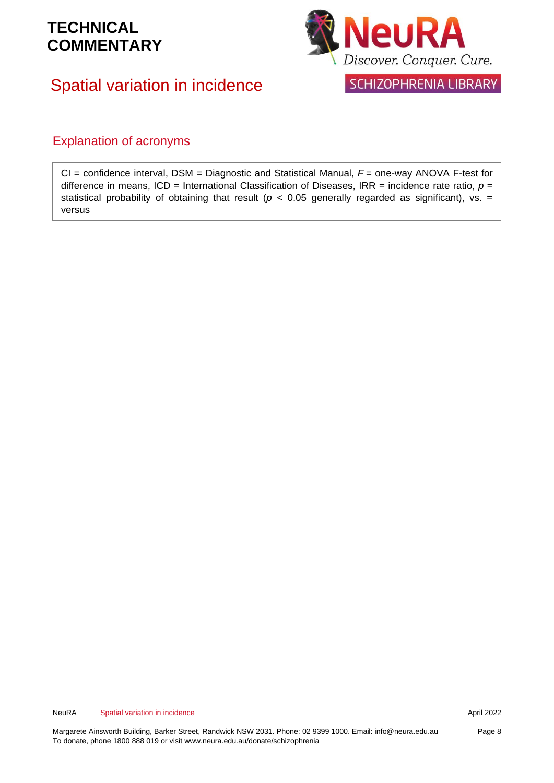# Spatial variation in incidence



SCHIZOPHRENIA LIBRARY

### Explanation of acronyms

CI = confidence interval, DSM = Diagnostic and Statistical Manual, *F* = one-way ANOVA F-test for difference in means, ICD = International Classification of Diseases, IRR = incidence rate ratio,  $p =$ statistical probability of obtaining that result ( $p < 0.05$  generally regarded as significant), vs. = versus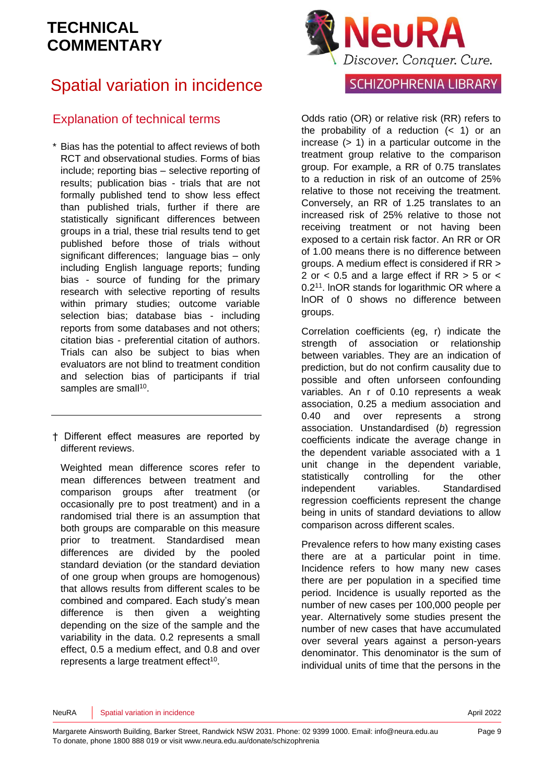# Spatial variation in incidence

## Explanation of technical terms

- \* Bias has the potential to affect reviews of both RCT and observational studies. Forms of bias include; reporting bias – selective reporting of results; publication bias - trials that are not formally published tend to show less effect than published trials, further if there are statistically significant differences between groups in a trial, these trial results tend to get published before those of trials without significant differences; language bias – only including English language reports; funding bias - source of funding for the primary research with selective reporting of results within primary studies; outcome variable selection bias; database bias - including reports from some databases and not others; citation bias - preferential citation of authors. Trials can also be subject to bias when evaluators are not blind to treatment condition and selection bias of participants if trial samples are small<sup>[10](#page-10-3)</sup>.
- † Different effect measures are reported by different reviews.

Weighted mean difference scores refer to mean differences between treatment and comparison groups after treatment (or occasionally pre to post treatment) and in a randomised trial there is an assumption that both groups are comparable on this measure prior to treatment. Standardised mean differences are divided by the pooled standard deviation (or the standard deviation of one group when groups are homogenous) that allows results from different scales to be combined and compared. Each study's mean difference is then given a weighting depending on the size of the sample and the variability in the data. 0.2 represents a small effect, 0.5 a medium effect, and 0.8 and over represents a large treatment effect $10$ .



### SCHIZOPHRENIA LIBRARY

Odds ratio (OR) or relative risk (RR) refers to the probability of a reduction  $($   $<$  1) or an increase  $(> 1)$  in a particular outcome in the treatment group relative to the comparison group. For example, a RR of 0.75 translates to a reduction in risk of an outcome of 25% relative to those not receiving the treatment. Conversely, an RR of 1.25 translates to an increased risk of 25% relative to those not receiving treatment or not having been exposed to a certain risk factor. An RR or OR of 1.00 means there is no difference between groups. A medium effect is considered if RR > 2 or < 0.5 and a large effect if RR > 5 or < 0.2<sup>[11](#page-10-4)</sup>. InOR stands for logarithmic OR where a lnOR of 0 shows no difference between groups.

Correlation coefficients (eg, r) indicate the strength of association or relationship between variables. They are an indication of prediction, but do not confirm causality due to possible and often unforseen confounding variables. An r of 0.10 represents a weak association, 0.25 a medium association and 0.40 and over represents a strong association. Unstandardised (*b*) regression coefficients indicate the average change in the dependent variable associated with a 1 unit change in the dependent variable, statistically controlling for the other independent variables. Standardised regression coefficients represent the change being in units of standard deviations to allow comparison across different scales.

Prevalence refers to how many existing cases there are at a particular point in time. Incidence refers to how many new cases there are per population in a specified time period. Incidence is usually reported as the number of new cases per 100,000 people per year. Alternatively some studies present the number of new cases that have accumulated over several years against a person-years denominator. This denominator is the sum of individual units of time that the persons in the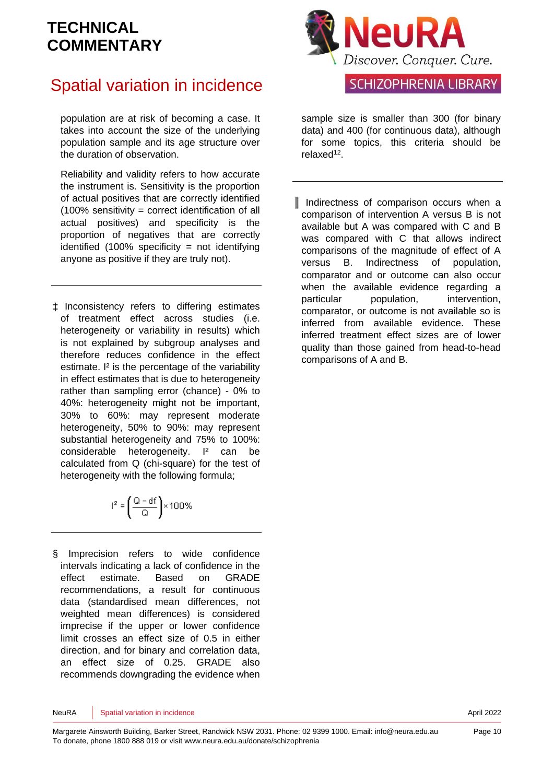# Spatial variation in incidence

population are at risk of becoming a case. It takes into account the size of the underlying population sample and its age structure over the duration of observation.

Reliability and validity refers to how accurate the instrument is. Sensitivity is the proportion of actual positives that are correctly identified (100% sensitivity = correct identification of all actual positives) and specificity is the proportion of negatives that are correctly identified  $(100\%$  specificity = not identifying anyone as positive if they are truly not).

‡ Inconsistency refers to differing estimates of treatment effect across studies (i.e. heterogeneity or variability in results) which is not explained by subgroup analyses and therefore reduces confidence in the effect estimate. I<sup>2</sup> is the percentage of the variability in effect estimates that is due to heterogeneity rather than sampling error (chance) - 0% to 40%: heterogeneity might not be important, 30% to 60%: may represent moderate heterogeneity, 50% to 90%: may represent substantial heterogeneity and 75% to 100%: considerable heterogeneity. I² can be calculated from Q (chi-square) for the test of heterogeneity with the following formula;

$$
l^2 = \left(\frac{Q - df}{Q}\right) \times 100\%
$$

§ Imprecision refers to wide confidence intervals indicating a lack of confidence in the effect estimate. Based on GRADE recommendations, a result for continuous data (standardised mean differences, not weighted mean differences) is considered imprecise if the upper or lower confidence limit crosses an effect size of 0.5 in either direction, and for binary and correlation data, an effect size of 0.25. GRADE also recommends downgrading the evidence when



## SCHIZOPHRENIA LIBRARY

sample size is smaller than 300 (for binary data) and 400 (for continuous data), although for some topics, this criteria should be relaxed<sup>[12](#page-10-5)</sup>.

║ Indirectness of comparison occurs when a comparison of intervention A versus B is not available but A was compared with C and B was compared with C that allows indirect comparisons of the magnitude of effect of A versus B. Indirectness of population, comparator and or outcome can also occur when the available evidence regarding a particular population, intervention, comparator, or outcome is not available so is inferred from available evidence. These inferred treatment effect sizes are of lower quality than those gained from head-to-head comparisons of A and B.

NeuRA Spatial variation in incidence April 2022 **April 2022**